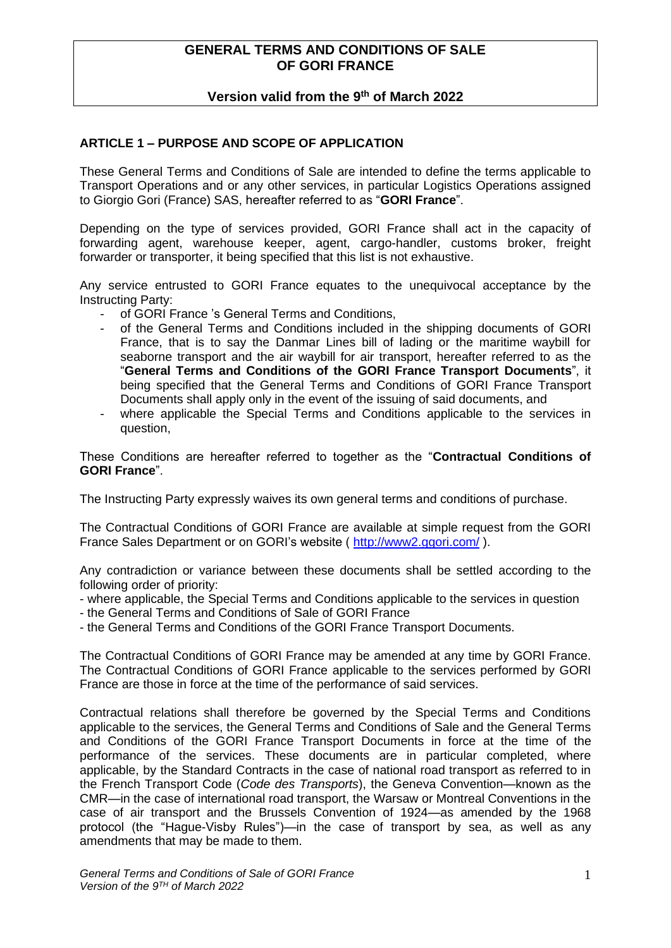# **GENERAL TERMS AND CONDITIONS OF SALE OF GORI FRANCE**

# **Version valid from the 9 th of March 2022**

## **ARTICLE 1 – PURPOSE AND SCOPE OF APPLICATION**

These General Terms and Conditions of Sale are intended to define the terms applicable to Transport Operations and or any other services, in particular Logistics Operations assigned to Giorgio Gori (France) SAS, hereafter referred to as "**GORI France**".

Depending on the type of services provided, GORI France shall act in the capacity of forwarding agent, warehouse keeper, agent, cargo-handler, customs broker, freight forwarder or transporter, it being specified that this list is not exhaustive.

Any service entrusted to GORI France equates to the unequivocal acceptance by the Instructing Party:

- of GORI France 's General Terms and Conditions,
- of the General Terms and Conditions included in the shipping documents of GORI France, that is to say the Danmar Lines bill of lading or the maritime waybill for seaborne transport and the air waybill for air transport, hereafter referred to as the "**General Terms and Conditions of the GORI France Transport Documents**", it being specified that the General Terms and Conditions of GORI France Transport Documents shall apply only in the event of the issuing of said documents, and
- where applicable the Special Terms and Conditions applicable to the services in question,

These Conditions are hereafter referred to together as the "**Contractual Conditions of GORI France**".

The Instructing Party expressly waives its own general terms and conditions of purchase.

The Contractual Conditions of GORI France are available at simple request from the GORI France Sales Department or on GORI's website ( <http://www2.ggori.com/> ).

Any contradiction or variance between these documents shall be settled according to the following order of priority:

- where applicable, the Special Terms and Conditions applicable to the services in question

- the General Terms and Conditions of Sale of GORI France

- the General Terms and Conditions of the GORI France Transport Documents.

The Contractual Conditions of GORI France may be amended at any time by GORI France. The Contractual Conditions of GORI France applicable to the services performed by GORI France are those in force at the time of the performance of said services.

Contractual relations shall therefore be governed by the Special Terms and Conditions applicable to the services, the General Terms and Conditions of Sale and the General Terms and Conditions of the GORI France Transport Documents in force at the time of the performance of the services. These documents are in particular completed, where applicable, by the Standard Contracts in the case of national road transport as referred to in the French Transport Code (*Code des Transports*), the Geneva Convention—known as the CMR—in the case of international road transport, the Warsaw or Montreal Conventions in the case of air transport and the Brussels Convention of 1924—as amended by the 1968 protocol (the "Hague-Visby Rules")—in the case of transport by sea, as well as any amendments that may be made to them.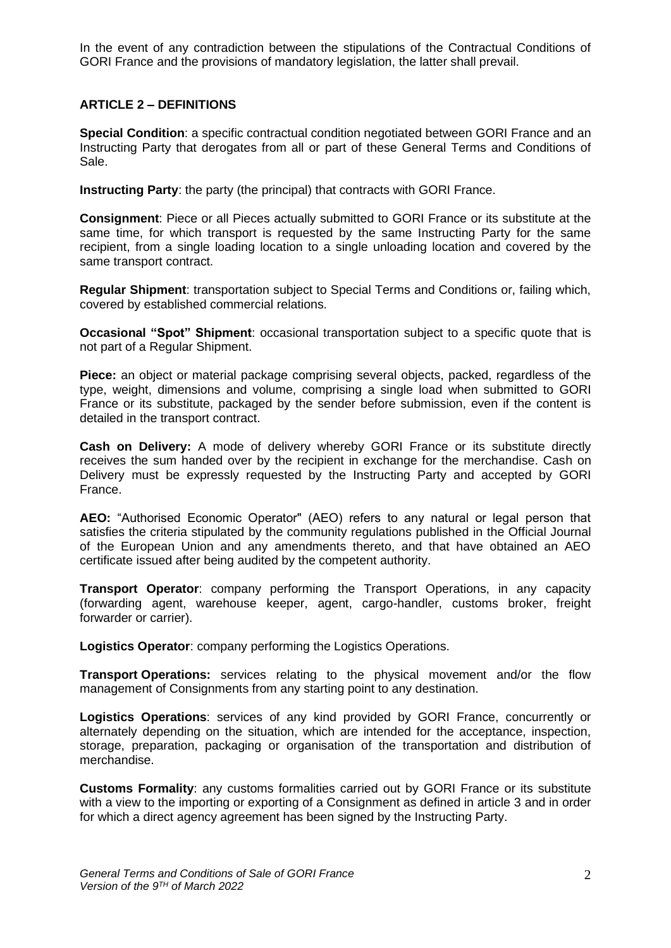In the event of any contradiction between the stipulations of the Contractual Conditions of GORI France and the provisions of mandatory legislation, the latter shall prevail.

# **ARTICLE 2 – DEFINITIONS**

**Special Condition**: a specific contractual condition negotiated between GORI France and an Instructing Party that derogates from all or part of these General Terms and Conditions of Sale.

**Instructing Party**: the party (the principal) that contracts with GORI France.

**Consignment**: Piece or all Pieces actually submitted to GORI France or its substitute at the same time, for which transport is requested by the same Instructing Party for the same recipient, from a single loading location to a single unloading location and covered by the same transport contract.

**Regular Shipment**: transportation subject to Special Terms and Conditions or, failing which, covered by established commercial relations.

**Occasional "Spot" Shipment**: occasional transportation subject to a specific quote that is not part of a Regular Shipment.

**Piece:** an object or material package comprising several objects, packed, regardless of the type, weight, dimensions and volume, comprising a single load when submitted to GORI France or its substitute, packaged by the sender before submission, even if the content is detailed in the transport contract.

**Cash on Delivery:** A mode of delivery whereby GORI France or its substitute directly receives the sum handed over by the recipient in exchange for the merchandise. Cash on Delivery must be expressly requested by the Instructing Party and accepted by GORI France.

**AEO:** "Authorised Economic Operator" (AEO) refers to any natural or legal person that satisfies the criteria stipulated by the community regulations published in the Official Journal of the European Union and any amendments thereto, and that have obtained an AEO certificate issued after being audited by the competent authority.

**Transport Operator**: company performing the Transport Operations, in any capacity (forwarding agent, warehouse keeper, agent, cargo-handler, customs broker, freight forwarder or carrier).

**Logistics Operator**: company performing the Logistics Operations.

**Transport Operations:** services relating to the physical movement and/or the flow management of Consignments from any starting point to any destination.

**Logistics Operations**: services of any kind provided by GORI France, concurrently or alternately depending on the situation, which are intended for the acceptance, inspection, storage, preparation, packaging or organisation of the transportation and distribution of merchandise.

**Customs Formality**: any customs formalities carried out by GORI France or its substitute with a view to the importing or exporting of a Consignment as defined in article 3 and in order for which a direct agency agreement has been signed by the Instructing Party.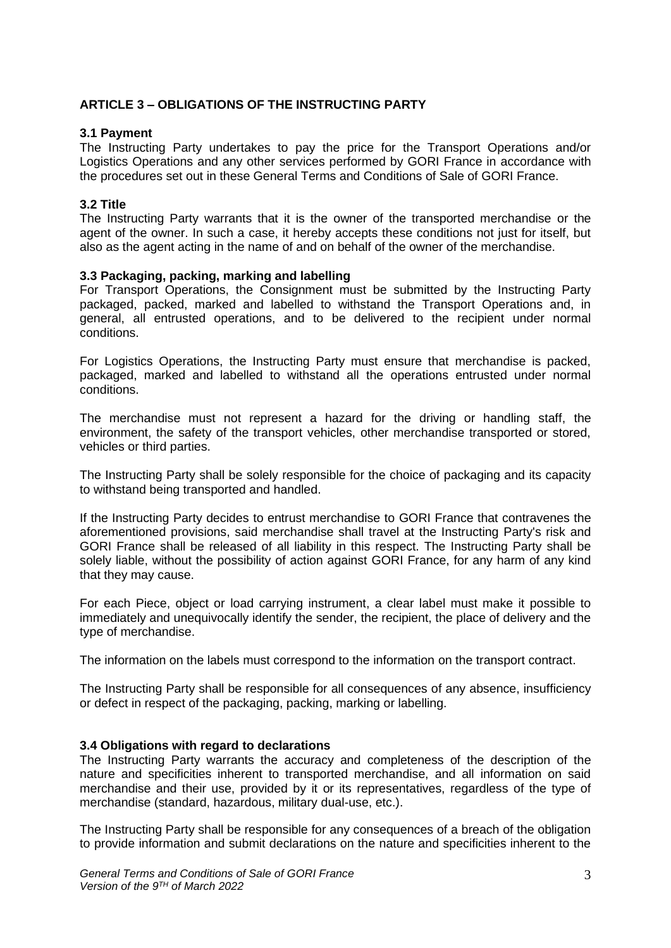# **ARTICLE 3 – OBLIGATIONS OF THE INSTRUCTING PARTY**

#### **3.1 Payment**

The Instructing Party undertakes to pay the price for the Transport Operations and/or Logistics Operations and any other services performed by GORI France in accordance with the procedures set out in these General Terms and Conditions of Sale of GORI France.

#### **3.2 Title**

The Instructing Party warrants that it is the owner of the transported merchandise or the agent of the owner. In such a case, it hereby accepts these conditions not just for itself, but also as the agent acting in the name of and on behalf of the owner of the merchandise.

#### **3.3 Packaging, packing, marking and labelling**

For Transport Operations, the Consignment must be submitted by the Instructing Party packaged, packed, marked and labelled to withstand the Transport Operations and, in general, all entrusted operations, and to be delivered to the recipient under normal conditions.

For Logistics Operations, the Instructing Party must ensure that merchandise is packed, packaged, marked and labelled to withstand all the operations entrusted under normal conditions.

The merchandise must not represent a hazard for the driving or handling staff, the environment, the safety of the transport vehicles, other merchandise transported or stored, vehicles or third parties.

The Instructing Party shall be solely responsible for the choice of packaging and its capacity to withstand being transported and handled.

If the Instructing Party decides to entrust merchandise to GORI France that contravenes the aforementioned provisions, said merchandise shall travel at the Instructing Party's risk and GORI France shall be released of all liability in this respect. The Instructing Party shall be solely liable, without the possibility of action against GORI France, for any harm of any kind that they may cause.

For each Piece, object or load carrying instrument, a clear label must make it possible to immediately and unequivocally identify the sender, the recipient, the place of delivery and the type of merchandise.

The information on the labels must correspond to the information on the transport contract.

The Instructing Party shall be responsible for all consequences of any absence, insufficiency or defect in respect of the packaging, packing, marking or labelling.

#### **3.4 Obligations with regard to declarations**

The Instructing Party warrants the accuracy and completeness of the description of the nature and specificities inherent to transported merchandise, and all information on said merchandise and their use, provided by it or its representatives, regardless of the type of merchandise (standard, hazardous, military dual-use, etc.).

The Instructing Party shall be responsible for any consequences of a breach of the obligation to provide information and submit declarations on the nature and specificities inherent to the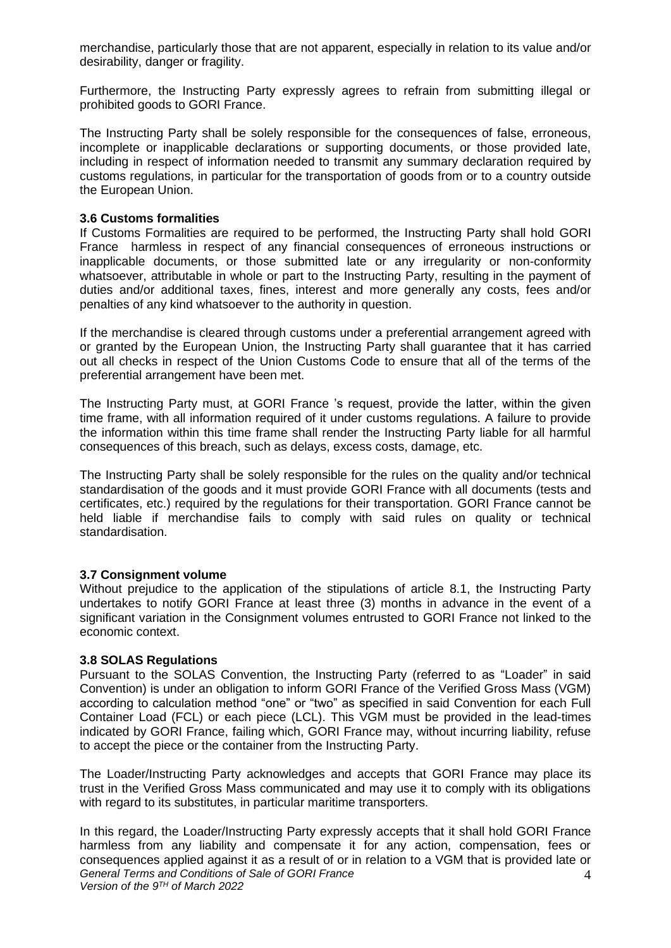merchandise, particularly those that are not apparent, especially in relation to its value and/or desirability, danger or fragility.

Furthermore, the Instructing Party expressly agrees to refrain from submitting illegal or prohibited goods to GORI France.

The Instructing Party shall be solely responsible for the consequences of false, erroneous, incomplete or inapplicable declarations or supporting documents, or those provided late, including in respect of information needed to transmit any summary declaration required by customs regulations, in particular for the transportation of goods from or to a country outside the European Union.

#### **3.6 Customs formalities**

If Customs Formalities are required to be performed, the Instructing Party shall hold GORI France harmless in respect of any financial consequences of erroneous instructions or inapplicable documents, or those submitted late or any irregularity or non-conformity whatsoever, attributable in whole or part to the Instructing Party, resulting in the payment of duties and/or additional taxes, fines, interest and more generally any costs, fees and/or penalties of any kind whatsoever to the authority in question.

If the merchandise is cleared through customs under a preferential arrangement agreed with or granted by the European Union, the Instructing Party shall guarantee that it has carried out all checks in respect of the Union Customs Code to ensure that all of the terms of the preferential arrangement have been met.

The Instructing Party must, at GORI France 's request, provide the latter, within the given time frame, with all information required of it under customs regulations. A failure to provide the information within this time frame shall render the Instructing Party liable for all harmful consequences of this breach, such as delays, excess costs, damage, etc.

The Instructing Party shall be solely responsible for the rules on the quality and/or technical standardisation of the goods and it must provide GORI France with all documents (tests and certificates, etc.) required by the regulations for their transportation. GORI France cannot be held liable if merchandise fails to comply with said rules on quality or technical standardisation.

#### **3.7 Consignment volume**

Without prejudice to the application of the stipulations of article 8.1, the Instructing Party undertakes to notify GORI France at least three (3) months in advance in the event of a significant variation in the Consignment volumes entrusted to GORI France not linked to the economic context.

#### **3.8 SOLAS Regulations**

Pursuant to the SOLAS Convention, the Instructing Party (referred to as "Loader" in said Convention) is under an obligation to inform GORI France of the Verified Gross Mass (VGM) according to calculation method "one" or "two" as specified in said Convention for each Full Container Load (FCL) or each piece (LCL). This VGM must be provided in the lead-times indicated by GORI France, failing which, GORI France may, without incurring liability, refuse to accept the piece or the container from the Instructing Party.

The Loader/Instructing Party acknowledges and accepts that GORI France may place its trust in the Verified Gross Mass communicated and may use it to comply with its obligations with regard to its substitutes, in particular maritime transporters.

*General Terms and Conditions of Sale of GORI France Version of the 9 TH of March 2022* 4 In this regard, the Loader/Instructing Party expressly accepts that it shall hold GORI France harmless from any liability and compensate it for any action, compensation, fees or consequences applied against it as a result of or in relation to a VGM that is provided late or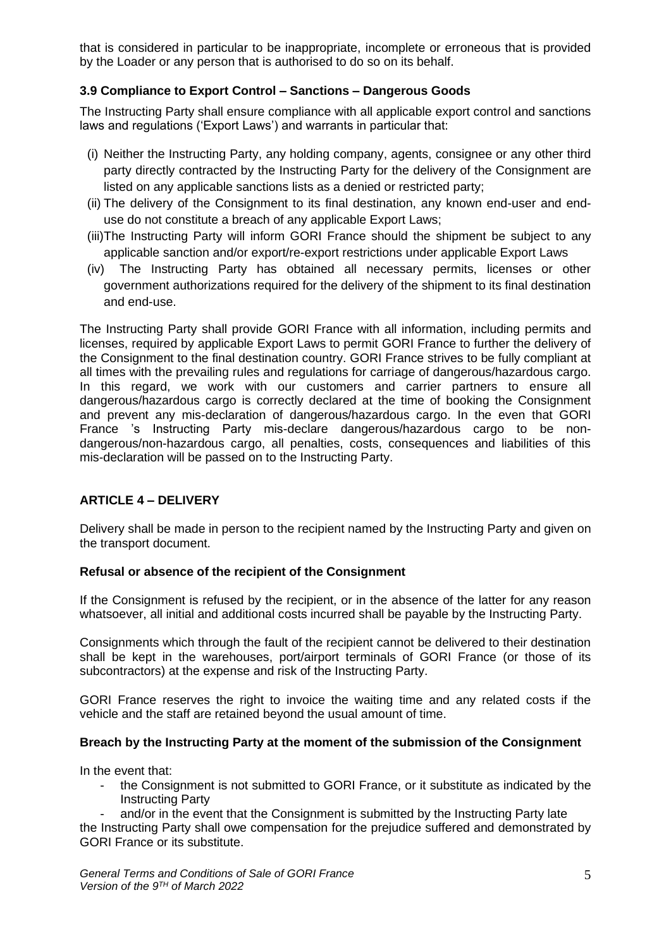that is considered in particular to be inappropriate, incomplete or erroneous that is provided by the Loader or any person that is authorised to do so on its behalf.

# **3.9 Compliance to Export Control – Sanctions – Dangerous Goods**

The Instructing Party shall ensure compliance with all applicable export control and sanctions laws and regulations ('Export Laws') and warrants in particular that:

- (i) Neither the Instructing Party, any holding company, agents, consignee or any other third party directly contracted by the Instructing Party for the delivery of the Consignment are listed on any applicable sanctions lists as a denied or restricted party;
- (ii) The delivery of the Consignment to its final destination, any known end-user and enduse do not constitute a breach of any applicable Export Laws;
- (iii)The Instructing Party will inform GORI France should the shipment be subject to any applicable sanction and/or export/re-export restrictions under applicable Export Laws
- (iv) The Instructing Party has obtained all necessary permits, licenses or other government authorizations required for the delivery of the shipment to its final destination and end-use.

The Instructing Party shall provide GORI France with all information, including permits and licenses, required by applicable Export Laws to permit GORI France to further the delivery of the Consignment to the final destination country. GORI France strives to be fully compliant at all times with the prevailing rules and regulations for carriage of dangerous/hazardous cargo. In this regard, we work with our customers and carrier partners to ensure all dangerous/hazardous cargo is correctly declared at the time of booking the Consignment and prevent any mis-declaration of dangerous/hazardous cargo. In the even that GORI France 's Instructing Party mis-declare dangerous/hazardous cargo to be nondangerous/non-hazardous cargo, all penalties, costs, consequences and liabilities of this mis-declaration will be passed on to the Instructing Party.

# **ARTICLE 4 – DELIVERY**

Delivery shall be made in person to the recipient named by the Instructing Party and given on the transport document.

## **Refusal or absence of the recipient of the Consignment**

If the Consignment is refused by the recipient, or in the absence of the latter for any reason whatsoever, all initial and additional costs incurred shall be payable by the Instructing Party.

Consignments which through the fault of the recipient cannot be delivered to their destination shall be kept in the warehouses, port/airport terminals of GORI France (or those of its subcontractors) at the expense and risk of the Instructing Party.

GORI France reserves the right to invoice the waiting time and any related costs if the vehicle and the staff are retained beyond the usual amount of time.

## **Breach by the Instructing Party at the moment of the submission of the Consignment**

In the event that:

- the Consignment is not submitted to GORI France, or it substitute as indicated by the Instructing Party

and/or in the event that the Consignment is submitted by the Instructing Party late the Instructing Party shall owe compensation for the prejudice suffered and demonstrated by GORI France or its substitute.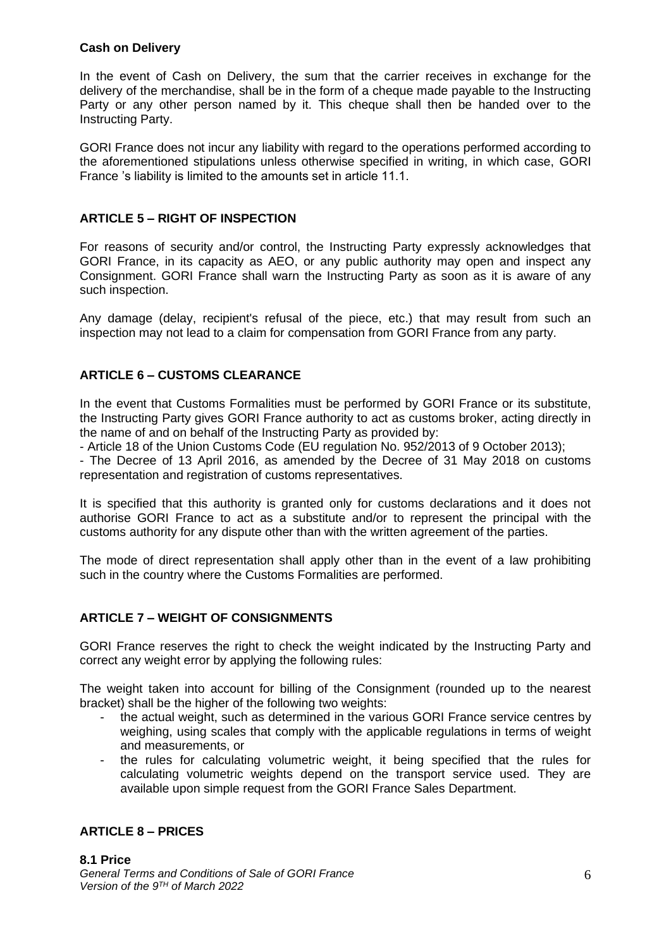## **Cash on Delivery**

In the event of Cash on Delivery, the sum that the carrier receives in exchange for the delivery of the merchandise, shall be in the form of a cheque made payable to the Instructing Party or any other person named by it. This cheque shall then be handed over to the Instructing Party.

GORI France does not incur any liability with regard to the operations performed according to the aforementioned stipulations unless otherwise specified in writing, in which case, GORI France 's liability is limited to the amounts set in article 11.1.

# **ARTICLE 5 – RIGHT OF INSPECTION**

For reasons of security and/or control, the Instructing Party expressly acknowledges that GORI France, in its capacity as AEO, or any public authority may open and inspect any Consignment. GORI France shall warn the Instructing Party as soon as it is aware of any such inspection.

Any damage (delay, recipient's refusal of the piece, etc.) that may result from such an inspection may not lead to a claim for compensation from GORI France from any party.

# **ARTICLE 6 – CUSTOMS CLEARANCE**

In the event that Customs Formalities must be performed by GORI France or its substitute, the Instructing Party gives GORI France authority to act as customs broker, acting directly in the name of and on behalf of the Instructing Party as provided by:

- Article 18 of the Union Customs Code (EU regulation No. 952/2013 of 9 October 2013);

- The Decree of 13 April 2016, as amended by the Decree of 31 May 2018 on customs representation and registration of customs representatives.

It is specified that this authority is granted only for customs declarations and it does not authorise GORI France to act as a substitute and/or to represent the principal with the customs authority for any dispute other than with the written agreement of the parties.

The mode of direct representation shall apply other than in the event of a law prohibiting such in the country where the Customs Formalities are performed.

# **ARTICLE 7 – WEIGHT OF CONSIGNMENTS**

GORI France reserves the right to check the weight indicated by the Instructing Party and correct any weight error by applying the following rules:

The weight taken into account for billing of the Consignment (rounded up to the nearest bracket) shall be the higher of the following two weights:

- the actual weight, such as determined in the various GORI France service centres by weighing, using scales that comply with the applicable regulations in terms of weight and measurements, or
- the rules for calculating volumetric weight, it being specified that the rules for calculating volumetric weights depend on the transport service used. They are available upon simple request from the GORI France Sales Department.

# **ARTICLE 8 – PRICES**

*General Terms and Conditions of Sale of GORI France Version of the 9 TH of March 2022* **8.1 Price**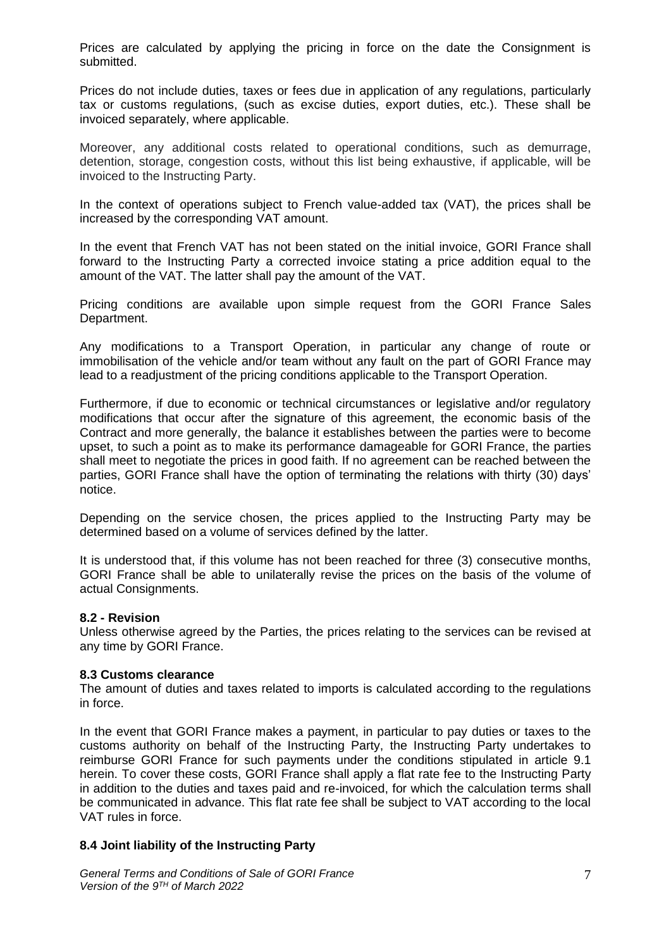Prices are calculated by applying the pricing in force on the date the Consignment is submitted.

Prices do not include duties, taxes or fees due in application of any regulations, particularly tax or customs regulations, (such as excise duties, export duties, etc.). These shall be invoiced separately, where applicable.

Moreover, any additional costs related to operational conditions, such as demurrage, detention, storage, congestion costs, without this list being exhaustive, if applicable, will be invoiced to the Instructing Party.

In the context of operations subject to French value-added tax (VAT), the prices shall be increased by the corresponding VAT amount.

In the event that French VAT has not been stated on the initial invoice, GORI France shall forward to the Instructing Party a corrected invoice stating a price addition equal to the amount of the VAT. The latter shall pay the amount of the VAT.

Pricing conditions are available upon simple request from the GORI France Sales Department.

Any modifications to a Transport Operation, in particular any change of route or immobilisation of the vehicle and/or team without any fault on the part of GORI France may lead to a readjustment of the pricing conditions applicable to the Transport Operation.

Furthermore, if due to economic or technical circumstances or legislative and/or regulatory modifications that occur after the signature of this agreement, the economic basis of the Contract and more generally, the balance it establishes between the parties were to become upset, to such a point as to make its performance damageable for GORI France, the parties shall meet to negotiate the prices in good faith. If no agreement can be reached between the parties, GORI France shall have the option of terminating the relations with thirty (30) days' notice.

Depending on the service chosen, the prices applied to the Instructing Party may be determined based on a volume of services defined by the latter.

It is understood that, if this volume has not been reached for three (3) consecutive months, GORI France shall be able to unilaterally revise the prices on the basis of the volume of actual Consignments.

#### **8.2 - Revision**

Unless otherwise agreed by the Parties, the prices relating to the services can be revised at any time by GORI France.

#### **8.3 Customs clearance**

The amount of duties and taxes related to imports is calculated according to the regulations in force.

In the event that GORI France makes a payment, in particular to pay duties or taxes to the customs authority on behalf of the Instructing Party, the Instructing Party undertakes to reimburse GORI France for such payments under the conditions stipulated in article 9.1 herein. To cover these costs, GORI France shall apply a flat rate fee to the Instructing Party in addition to the duties and taxes paid and re-invoiced, for which the calculation terms shall be communicated in advance. This flat rate fee shall be subject to VAT according to the local VAT rules in force.

## **8.4 Joint liability of the Instructing Party**

*General Terms and Conditions of Sale of GORI France Version of the 9 TH of March 2022*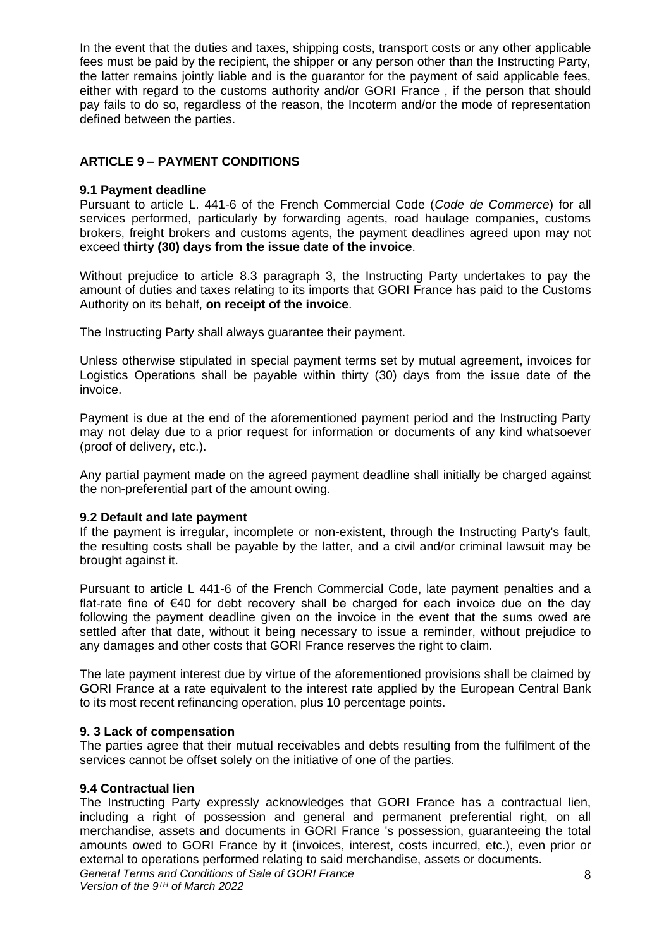In the event that the duties and taxes, shipping costs, transport costs or any other applicable fees must be paid by the recipient, the shipper or any person other than the Instructing Party, the latter remains jointly liable and is the guarantor for the payment of said applicable fees, either with regard to the customs authority and/or GORI France , if the person that should pay fails to do so, regardless of the reason, the Incoterm and/or the mode of representation defined between the parties.

# **ARTICLE 9 – PAYMENT CONDITIONS**

#### **9.1 Payment deadline**

Pursuant to article L. 441-6 of the French Commercial Code (*Code de Commerce*) for all services performed, particularly by forwarding agents, road haulage companies, customs brokers, freight brokers and customs agents, the payment deadlines agreed upon may not exceed **thirty (30) days from the issue date of the invoice**.

Without prejudice to article 8.3 paragraph 3, the Instructing Party undertakes to pay the amount of duties and taxes relating to its imports that GORI France has paid to the Customs Authority on its behalf, **on receipt of the invoice**.

The Instructing Party shall always guarantee their payment.

Unless otherwise stipulated in special payment terms set by mutual agreement, invoices for Logistics Operations shall be payable within thirty (30) days from the issue date of the invoice.

Payment is due at the end of the aforementioned payment period and the Instructing Party may not delay due to a prior request for information or documents of any kind whatsoever (proof of delivery, etc.).

Any partial payment made on the agreed payment deadline shall initially be charged against the non-preferential part of the amount owing.

#### **9.2 Default and late payment**

If the payment is irregular, incomplete or non-existent, through the Instructing Party's fault, the resulting costs shall be payable by the latter, and a civil and/or criminal lawsuit may be brought against it.

Pursuant to article L 441-6 of the French Commercial Code, late payment penalties and a flat-rate fine of €40 for debt recovery shall be charged for each invoice due on the day following the payment deadline given on the invoice in the event that the sums owed are settled after that date, without it being necessary to issue a reminder, without prejudice to any damages and other costs that GORI France reserves the right to claim.

The late payment interest due by virtue of the aforementioned provisions shall be claimed by GORI France at a rate equivalent to the interest rate applied by the European Central Bank to its most recent refinancing operation, plus 10 percentage points.

#### **9. 3 Lack of compensation**

The parties agree that their mutual receivables and debts resulting from the fulfilment of the services cannot be offset solely on the initiative of one of the parties.

## **9.4 Contractual lien**

The Instructing Party expressly acknowledges that GORI France has a contractual lien, including a right of possession and general and permanent preferential right, on all merchandise, assets and documents in GORI France 's possession, guaranteeing the total amounts owed to GORI France by it (invoices, interest, costs incurred, etc.), even prior or external to operations performed relating to said merchandise, assets or documents.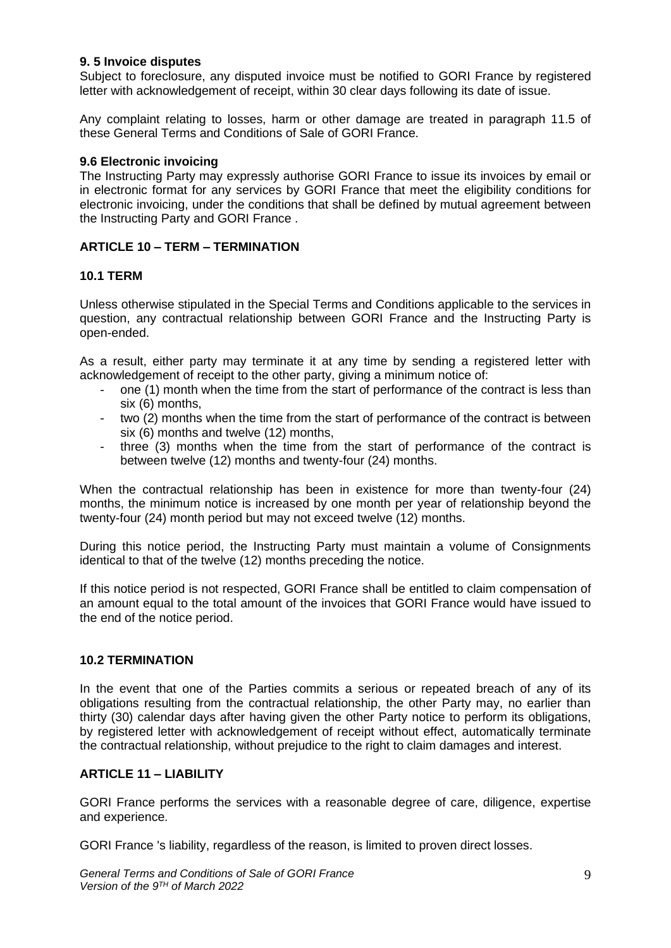## **9. 5 Invoice disputes**

Subject to foreclosure, any disputed invoice must be notified to GORI France by registered letter with acknowledgement of receipt, within 30 clear days following its date of issue.

Any complaint relating to losses, harm or other damage are treated in paragraph 11.5 of these General Terms and Conditions of Sale of GORI France.

## **9.6 Electronic invoicing**

The Instructing Party may expressly authorise GORI France to issue its invoices by email or in electronic format for any services by GORI France that meet the eligibility conditions for electronic invoicing, under the conditions that shall be defined by mutual agreement between the Instructing Party and GORI France .

# **ARTICLE 10 – TERM – TERMINATION**

## **10.1 TERM**

Unless otherwise stipulated in the Special Terms and Conditions applicable to the services in question, any contractual relationship between GORI France and the Instructing Party is open-ended.

As a result, either party may terminate it at any time by sending a registered letter with acknowledgement of receipt to the other party, giving a minimum notice of:

- one (1) month when the time from the start of performance of the contract is less than six (6) months,
- two (2) months when the time from the start of performance of the contract is between six (6) months and twelve (12) months,
- three (3) months when the time from the start of performance of the contract is between twelve (12) months and twenty-four (24) months.

When the contractual relationship has been in existence for more than twenty-four (24) months, the minimum notice is increased by one month per year of relationship beyond the twenty-four (24) month period but may not exceed twelve (12) months.

During this notice period, the Instructing Party must maintain a volume of Consignments identical to that of the twelve (12) months preceding the notice.

If this notice period is not respected, GORI France shall be entitled to claim compensation of an amount equal to the total amount of the invoices that GORI France would have issued to the end of the notice period.

## **10.2 TERMINATION**

In the event that one of the Parties commits a serious or repeated breach of any of its obligations resulting from the contractual relationship, the other Party may, no earlier than thirty (30) calendar days after having given the other Party notice to perform its obligations, by registered letter with acknowledgement of receipt without effect, automatically terminate the contractual relationship, without prejudice to the right to claim damages and interest.

## **ARTICLE 11 – LIABILITY**

GORI France performs the services with a reasonable degree of care, diligence, expertise and experience.

GORI France 's liability, regardless of the reason, is limited to proven direct losses.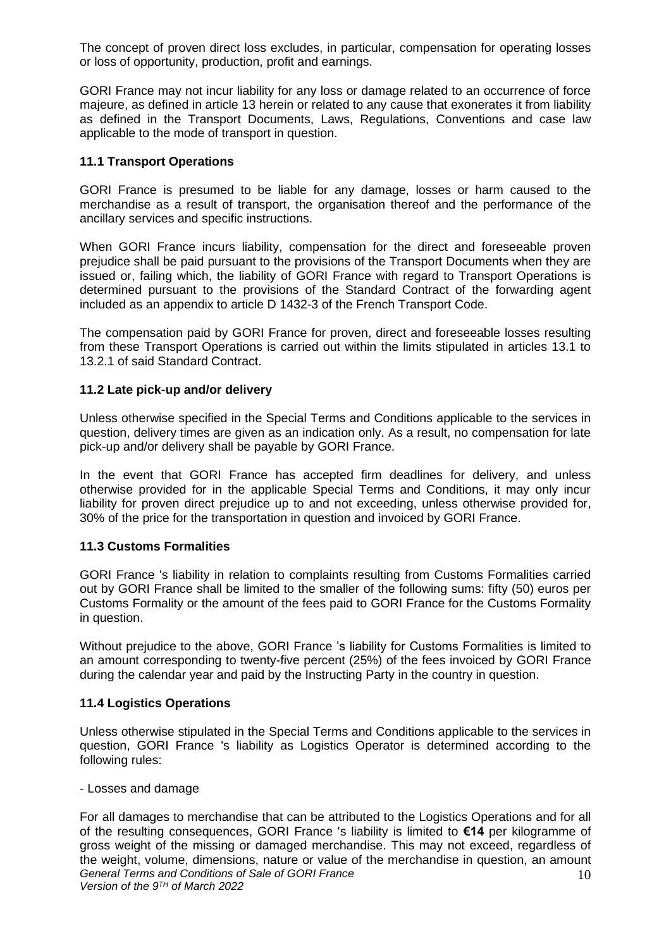The concept of proven direct loss excludes, in particular, compensation for operating losses or loss of opportunity, production, profit and earnings.

GORI France may not incur liability for any loss or damage related to an occurrence of force majeure, as defined in article 13 herein or related to any cause that exonerates it from liability as defined in the Transport Documents, Laws, Regulations, Conventions and case law applicable to the mode of transport in question.

#### **11.1 Transport Operations**

GORI France is presumed to be liable for any damage, losses or harm caused to the merchandise as a result of transport, the organisation thereof and the performance of the ancillary services and specific instructions.

When GORI France incurs liability, compensation for the direct and foreseeable proven prejudice shall be paid pursuant to the provisions of the Transport Documents when they are issued or, failing which, the liability of GORI France with regard to Transport Operations is determined pursuant to the provisions of the Standard Contract of the forwarding agent included as an appendix to article D 1432-3 of the French Transport Code.

The compensation paid by GORI France for proven, direct and foreseeable losses resulting from these Transport Operations is carried out within the limits stipulated in articles 13.1 to 13.2.1 of said Standard Contract.

# **11.2 Late pick-up and/or delivery**

Unless otherwise specified in the Special Terms and Conditions applicable to the services in question, delivery times are given as an indication only. As a result, no compensation for late pick-up and/or delivery shall be payable by GORI France.

In the event that GORI France has accepted firm deadlines for delivery, and unless otherwise provided for in the applicable Special Terms and Conditions, it may only incur liability for proven direct prejudice up to and not exceeding, unless otherwise provided for, 30% of the price for the transportation in question and invoiced by GORI France.

## **11.3 Customs Formalities**

GORI France 's liability in relation to complaints resulting from Customs Formalities carried out by GORI France shall be limited to the smaller of the following sums: fifty (50) euros per Customs Formality or the amount of the fees paid to GORI France for the Customs Formality in question.

Without prejudice to the above, GORI France 's liability for Customs Formalities is limited to an amount corresponding to twenty-five percent (25%) of the fees invoiced by GORI France during the calendar year and paid by the Instructing Party in the country in question.

#### **11.4 Logistics Operations**

Unless otherwise stipulated in the Special Terms and Conditions applicable to the services in question, GORI France 's liability as Logistics Operator is determined according to the following rules:

- Losses and damage

*General Terms and Conditions of Sale of GORI France Version of the 9 TH of March 2022* 10 For all damages to merchandise that can be attributed to the Logistics Operations and for all of the resulting consequences, GORI France 's liability is limited to **€14** per kilogramme of gross weight of the missing or damaged merchandise. This may not exceed, regardless of the weight, volume, dimensions, nature or value of the merchandise in question, an amount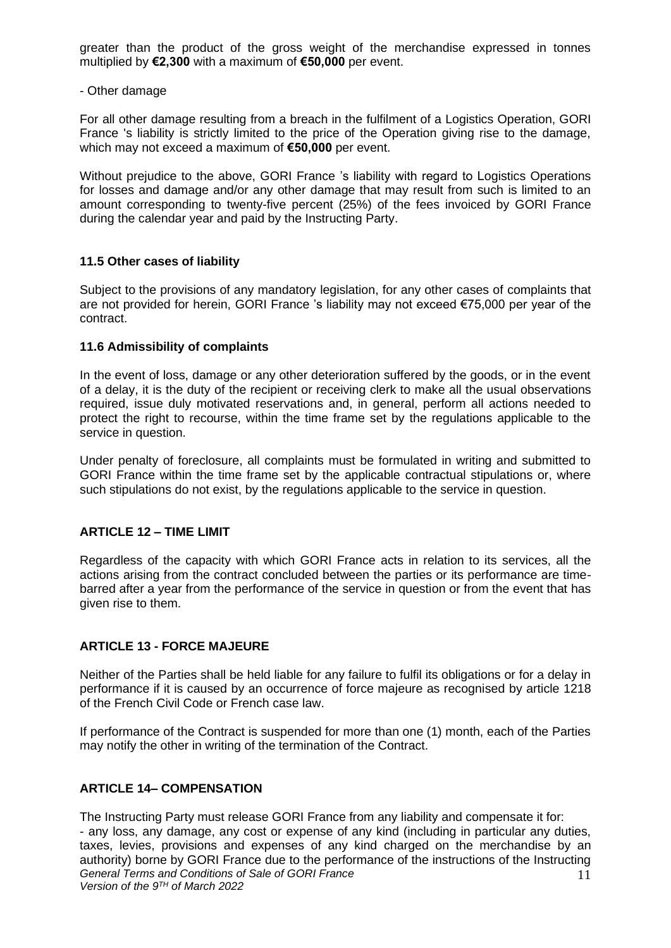greater than the product of the gross weight of the merchandise expressed in tonnes multiplied by **€2,300** with a maximum of **€50,000** per event.

- Other damage

For all other damage resulting from a breach in the fulfilment of a Logistics Operation, GORI France 's liability is strictly limited to the price of the Operation giving rise to the damage, which may not exceed a maximum of **€50,000** per event.

Without prejudice to the above, GORI France 's liability with regard to Logistics Operations for losses and damage and/or any other damage that may result from such is limited to an amount corresponding to twenty-five percent (25%) of the fees invoiced by GORI France during the calendar year and paid by the Instructing Party.

## **11.5 Other cases of liability**

Subject to the provisions of any mandatory legislation, for any other cases of complaints that are not provided for herein, GORI France 's liability may not exceed €75,000 per year of the contract.

#### **11.6 Admissibility of complaints**

In the event of loss, damage or any other deterioration suffered by the goods, or in the event of a delay, it is the duty of the recipient or receiving clerk to make all the usual observations required, issue duly motivated reservations and, in general, perform all actions needed to protect the right to recourse, within the time frame set by the regulations applicable to the service in question.

Under penalty of foreclosure, all complaints must be formulated in writing and submitted to GORI France within the time frame set by the applicable contractual stipulations or, where such stipulations do not exist, by the regulations applicable to the service in question.

## **ARTICLE 12 – TIME LIMIT**

Regardless of the capacity with which GORI France acts in relation to its services, all the actions arising from the contract concluded between the parties or its performance are timebarred after a year from the performance of the service in question or from the event that has given rise to them.

## **ARTICLE 13 - FORCE MAJEURE**

Neither of the Parties shall be held liable for any failure to fulfil its obligations or for a delay in performance if it is caused by an occurrence of force majeure as recognised by article 1218 of the French Civil Code or French case law.

If performance of the Contract is suspended for more than one (1) month, each of the Parties may notify the other in writing of the termination of the Contract.

## **ARTICLE 14– COMPENSATION**

*General Terms and Conditions of Sale of GORI France Version of the 9 TH of March 2022* 11 The Instructing Party must release GORI France from any liability and compensate it for: - any loss, any damage, any cost or expense of any kind (including in particular any duties, taxes, levies, provisions and expenses of any kind charged on the merchandise by an authority) borne by GORI France due to the performance of the instructions of the Instructing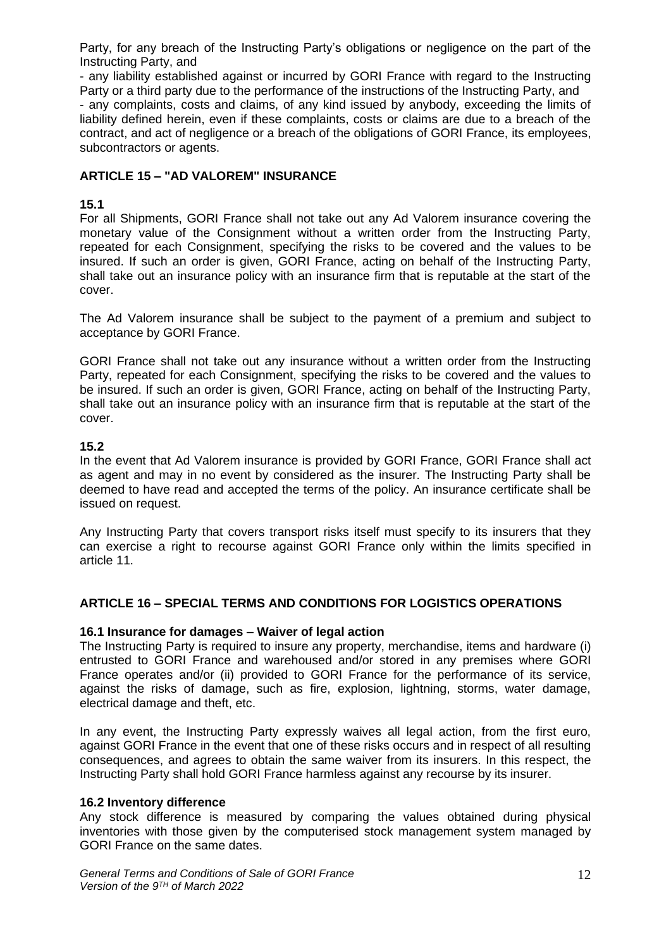Party, for any breach of the Instructing Party's obligations or negligence on the part of the Instructing Party, and

- any liability established against or incurred by GORI France with regard to the Instructing Party or a third party due to the performance of the instructions of the Instructing Party, and - any complaints, costs and claims, of any kind issued by anybody, exceeding the limits of liability defined herein, even if these complaints, costs or claims are due to a breach of the contract, and act of negligence or a breach of the obligations of GORI France, its employees, subcontractors or agents.

# **ARTICLE 15 – "AD VALOREM" INSURANCE**

# **15.1**

For all Shipments, GORI France shall not take out any Ad Valorem insurance covering the monetary value of the Consignment without a written order from the Instructing Party, repeated for each Consignment, specifying the risks to be covered and the values to be insured. If such an order is given, GORI France, acting on behalf of the Instructing Party, shall take out an insurance policy with an insurance firm that is reputable at the start of the cover.

The Ad Valorem insurance shall be subject to the payment of a premium and subject to acceptance by GORI France.

GORI France shall not take out any insurance without a written order from the Instructing Party, repeated for each Consignment, specifying the risks to be covered and the values to be insured. If such an order is given, GORI France, acting on behalf of the Instructing Party, shall take out an insurance policy with an insurance firm that is reputable at the start of the cover.

# **15.2**

In the event that Ad Valorem insurance is provided by GORI France, GORI France shall act as agent and may in no event by considered as the insurer. The Instructing Party shall be deemed to have read and accepted the terms of the policy. An insurance certificate shall be issued on request.

Any Instructing Party that covers transport risks itself must specify to its insurers that they can exercise a right to recourse against GORI France only within the limits specified in article 11.

## **ARTICLE 16 – SPECIAL TERMS AND CONDITIONS FOR LOGISTICS OPERATIONS**

## **16.1 Insurance for damages – Waiver of legal action**

The Instructing Party is required to insure any property, merchandise, items and hardware (i) entrusted to GORI France and warehoused and/or stored in any premises where GORI France operates and/or (ii) provided to GORI France for the performance of its service, against the risks of damage, such as fire, explosion, lightning, storms, water damage, electrical damage and theft, etc.

In any event, the Instructing Party expressly waives all legal action, from the first euro, against GORI France in the event that one of these risks occurs and in respect of all resulting consequences, and agrees to obtain the same waiver from its insurers. In this respect, the Instructing Party shall hold GORI France harmless against any recourse by its insurer.

## **16.2 Inventory difference**

Any stock difference is measured by comparing the values obtained during physical inventories with those given by the computerised stock management system managed by GORI France on the same dates.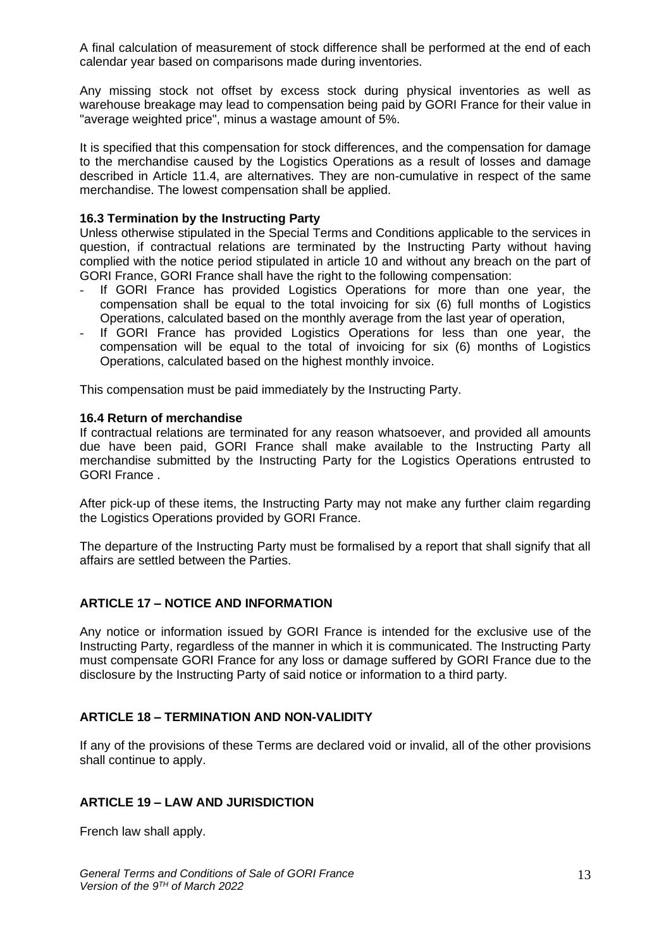A final calculation of measurement of stock difference shall be performed at the end of each calendar year based on comparisons made during inventories.

Any missing stock not offset by excess stock during physical inventories as well as warehouse breakage may lead to compensation being paid by GORI France for their value in "average weighted price", minus a wastage amount of 5%.

It is specified that this compensation for stock differences, and the compensation for damage to the merchandise caused by the Logistics Operations as a result of losses and damage described in Article 11.4, are alternatives. They are non-cumulative in respect of the same merchandise. The lowest compensation shall be applied.

#### **16.3 Termination by the Instructing Party**

Unless otherwise stipulated in the Special Terms and Conditions applicable to the services in question, if contractual relations are terminated by the Instructing Party without having complied with the notice period stipulated in article 10 and without any breach on the part of GORI France, GORI France shall have the right to the following compensation:

- If GORI France has provided Logistics Operations for more than one year, the compensation shall be equal to the total invoicing for six (6) full months of Logistics Operations, calculated based on the monthly average from the last year of operation,
- If GORI France has provided Logistics Operations for less than one year, the compensation will be equal to the total of invoicing for six (6) months of Logistics Operations, calculated based on the highest monthly invoice.

This compensation must be paid immediately by the Instructing Party.

#### **16.4 Return of merchandise**

If contractual relations are terminated for any reason whatsoever, and provided all amounts due have been paid, GORI France shall make available to the Instructing Party all merchandise submitted by the Instructing Party for the Logistics Operations entrusted to GORI France .

After pick-up of these items, the Instructing Party may not make any further claim regarding the Logistics Operations provided by GORI France.

The departure of the Instructing Party must be formalised by a report that shall signify that all affairs are settled between the Parties.

## **ARTICLE 17 – NOTICE AND INFORMATION**

Any notice or information issued by GORI France is intended for the exclusive use of the Instructing Party, regardless of the manner in which it is communicated. The Instructing Party must compensate GORI France for any loss or damage suffered by GORI France due to the disclosure by the Instructing Party of said notice or information to a third party.

## **ARTICLE 18 – TERMINATION AND NON-VALIDITY**

If any of the provisions of these Terms are declared void or invalid, all of the other provisions shall continue to apply.

## **ARTICLE 19 – LAW AND JURISDICTION**

French law shall apply.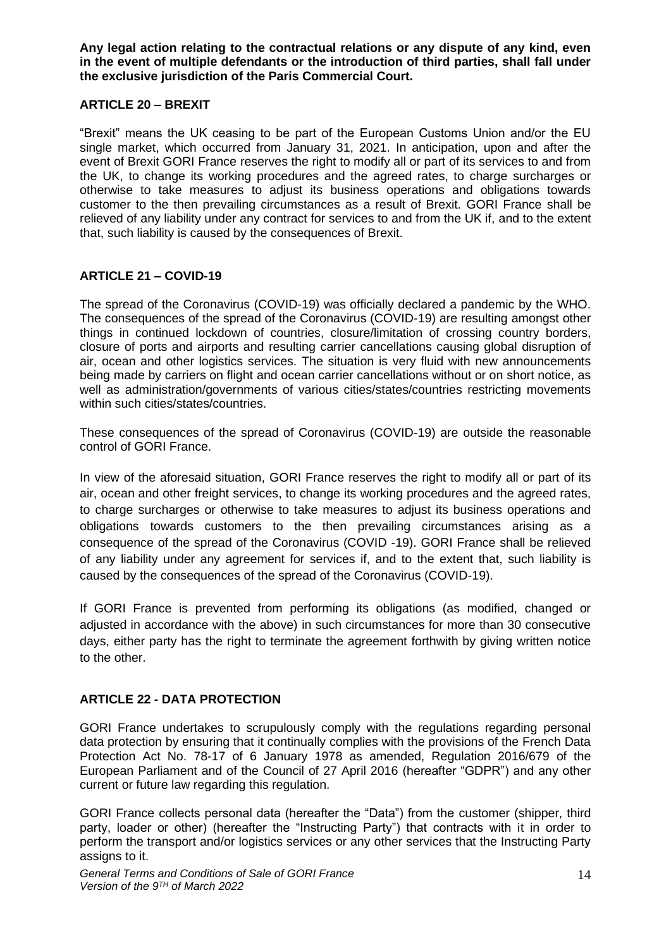**Any legal action relating to the contractual relations or any dispute of any kind, even in the event of multiple defendants or the introduction of third parties, shall fall under the exclusive jurisdiction of the Paris Commercial Court.**

## **ARTICLE 20 – BREXIT**

"Brexit" means the UK ceasing to be part of the European Customs Union and/or the EU single market, which occurred from January 31, 2021. In anticipation, upon and after the event of Brexit GORI France reserves the right to modify all or part of its services to and from the UK, to change its working procedures and the agreed rates, to charge surcharges or otherwise to take measures to adjust its business operations and obligations towards customer to the then prevailing circumstances as a result of Brexit. GORI France shall be relieved of any liability under any contract for services to and from the UK if, and to the extent that, such liability is caused by the consequences of Brexit.

# **ARTICLE 21 – COVID-19**

The spread of the Coronavirus (COVID-19) was officially declared a pandemic by the WHO. The consequences of the spread of the Coronavirus (COVID-19) are resulting amongst other things in continued lockdown of countries, closure/limitation of crossing country borders, closure of ports and airports and resulting carrier cancellations causing global disruption of air, ocean and other logistics services. The situation is very fluid with new announcements being made by carriers on flight and ocean carrier cancellations without or on short notice, as well as administration/governments of various cities/states/countries restricting movements within such cities/states/countries.

These consequences of the spread of Coronavirus (COVID-19) are outside the reasonable control of GORI France.

In view of the aforesaid situation, GORI France reserves the right to modify all or part of its air, ocean and other freight services, to change its working procedures and the agreed rates, to charge surcharges or otherwise to take measures to adjust its business operations and obligations towards customers to the then prevailing circumstances arising as a consequence of the spread of the Coronavirus (COVID -19). GORI France shall be relieved of any liability under any agreement for services if, and to the extent that, such liability is caused by the consequences of the spread of the Coronavirus (COVID-19).

If GORI France is prevented from performing its obligations (as modified, changed or adjusted in accordance with the above) in such circumstances for more than 30 consecutive days, either party has the right to terminate the agreement forthwith by giving written notice to the other.

# **ARTICLE 22 - DATA PROTECTION**

GORI France undertakes to scrupulously comply with the regulations regarding personal data protection by ensuring that it continually complies with the provisions of the French Data Protection Act No. 78-17 of 6 January 1978 as amended, Regulation 2016/679 of the European Parliament and of the Council of 27 April 2016 (hereafter "GDPR") and any other current or future law regarding this regulation.

GORI France collects personal data (hereafter the "Data") from the customer (shipper, third party, loader or other) (hereafter the "Instructing Party") that contracts with it in order to perform the transport and/or logistics services or any other services that the Instructing Party assigns to it.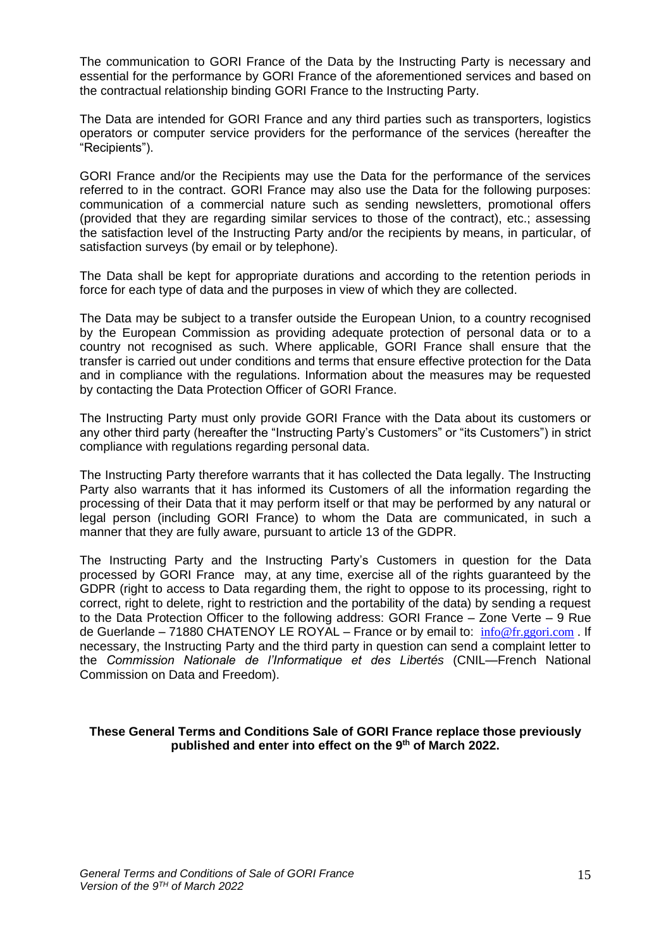The communication to GORI France of the Data by the Instructing Party is necessary and essential for the performance by GORI France of the aforementioned services and based on the contractual relationship binding GORI France to the Instructing Party.

The Data are intended for GORI France and any third parties such as transporters, logistics operators or computer service providers for the performance of the services (hereafter the "Recipients").

GORI France and/or the Recipients may use the Data for the performance of the services referred to in the contract. GORI France may also use the Data for the following purposes: communication of a commercial nature such as sending newsletters, promotional offers (provided that they are regarding similar services to those of the contract), etc.; assessing the satisfaction level of the Instructing Party and/or the recipients by means, in particular, of satisfaction surveys (by email or by telephone).

The Data shall be kept for appropriate durations and according to the retention periods in force for each type of data and the purposes in view of which they are collected.

The Data may be subject to a transfer outside the European Union, to a country recognised by the European Commission as providing adequate protection of personal data or to a country not recognised as such. Where applicable, GORI France shall ensure that the transfer is carried out under conditions and terms that ensure effective protection for the Data and in compliance with the regulations. Information about the measures may be requested by contacting the Data Protection Officer of GORI France.

The Instructing Party must only provide GORI France with the Data about its customers or any other third party (hereafter the "Instructing Party's Customers" or "its Customers") in strict compliance with regulations regarding personal data.

The Instructing Party therefore warrants that it has collected the Data legally. The Instructing Party also warrants that it has informed its Customers of all the information regarding the processing of their Data that it may perform itself or that may be performed by any natural or legal person (including GORI France) to whom the Data are communicated, in such a manner that they are fully aware, pursuant to article 13 of the GDPR.

The Instructing Party and the Instructing Party's Customers in question for the Data processed by GORI France may, at any time, exercise all of the rights guaranteed by the GDPR (right to access to Data regarding them, the right to oppose to its processing, right to correct, right to delete, right to restriction and the portability of the data) by sending a request to the Data Protection Officer to the following address: GORI France – Zone Verte – 9 Rue de Guerlande – 71880 CHATENOY LE ROYAL – France or by email to:  $info@fr.gori.com$ . If necessary, the Instructing Party and the third party in question can send a complaint letter to the *Commission Nationale de l'Informatique et des Libertés* (CNIL—French National Commission on Data and Freedom).

#### **These General Terms and Conditions Sale of GORI France replace those previously published and enter into effect on the 9 th of March 2022.**